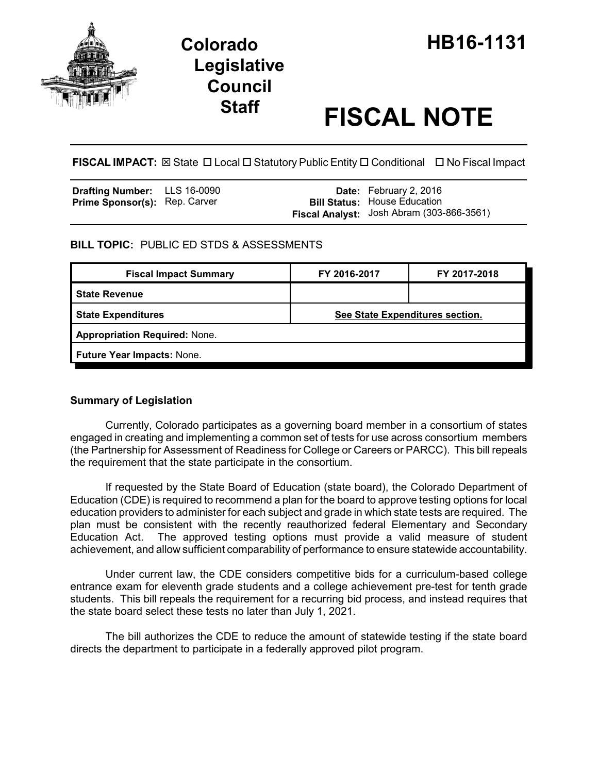

# **Legislative Council**

# **Staff FISCAL NOTE**

**FISCAL IMPACT:** ⊠ State □ Local □ Statutory Public Entity □ Conditional □ No Fiscal Impact

| <b>Drafting Number:</b> LLS 16-0090  |  | <b>Date:</b> February 2, 2016             |
|--------------------------------------|--|-------------------------------------------|
| <b>Prime Sponsor(s): Rep. Carver</b> |  | <b>Bill Status:</b> House Education       |
|                                      |  | Fiscal Analyst: Josh Abram (303-866-3561) |

# **BILL TOPIC:** PUBLIC ED STDS & ASSESSMENTS

| <b>Fiscal Impact Summary</b>         | FY 2016-2017                    | FY 2017-2018 |  |  |  |
|--------------------------------------|---------------------------------|--------------|--|--|--|
| l State Revenue                      |                                 |              |  |  |  |
| <b>State Expenditures</b>            | See State Expenditures section. |              |  |  |  |
| <b>Appropriation Required: None.</b> |                                 |              |  |  |  |
| Future Year Impacts: None.           |                                 |              |  |  |  |
|                                      |                                 |              |  |  |  |

## **Summary of Legislation**

Currently, Colorado participates as a governing board member in a consortium of states engaged in creating and implementing a common set of tests for use across consortium members (the Partnership for Assessment of Readiness for College or Careers or PARCC). This bill repeals the requirement that the state participate in the consortium.

If requested by the State Board of Education (state board), the Colorado Department of Education (CDE) is required to recommend a plan for the board to approve testing options for local education providers to administer for each subject and grade in which state tests are required. The plan must be consistent with the recently reauthorized federal Elementary and Secondary Education Act. The approved testing options must provide a valid measure of student achievement, and allow sufficient comparability of performance to ensure statewide accountability.

Under current law, the CDE considers competitive bids for a curriculum-based college entrance exam for eleventh grade students and a college achievement pre-test for tenth grade students. This bill repeals the requirement for a recurring bid process, and instead requires that the state board select these tests no later than July 1, 2021.

The bill authorizes the CDE to reduce the amount of statewide testing if the state board directs the department to participate in a federally approved pilot program.